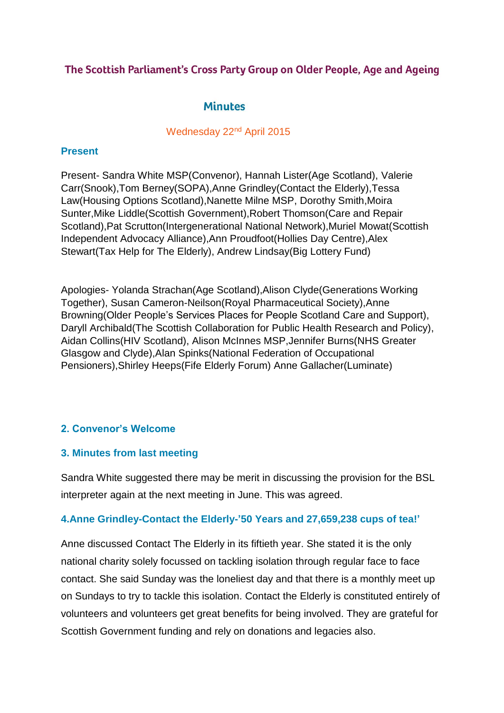## The Scottish Parliament's Cross Party Group on Older People, Age and Ageing

## **Minutes**

### Wednesday 22<sup>nd</sup> April 2015

## **Present**

Present- Sandra White MSP(Convenor), Hannah Lister(Age Scotland), Valerie Carr(Snook),Tom Berney(SOPA),Anne Grindley(Contact the Elderly),Tessa Law(Housing Options Scotland),Nanette Milne MSP, Dorothy Smith,Moira Sunter,Mike Liddle(Scottish Government),Robert Thomson(Care and Repair Scotland),Pat Scrutton(Intergenerational National Network),Muriel Mowat(Scottish Independent Advocacy Alliance),Ann Proudfoot(Hollies Day Centre),Alex Stewart(Tax Help for The Elderly), Andrew Lindsay(Big Lottery Fund)

Apologies- Yolanda Strachan(Age Scotland),Alison Clyde(Generations Working Together), Susan Cameron-Neilson(Royal Pharmaceutical Society),Anne Browning(Older People's Services Places for People Scotland Care and Support), Daryll Archibald(The Scottish Collaboration for Public Health Research and Policy), Aidan Collins(HIV Scotland), Alison McInnes MSP,Jennifer Burns(NHS Greater Glasgow and Clyde),Alan Spinks(National Federation of Occupational Pensioners),Shirley Heeps(Fife Elderly Forum) Anne Gallacher(Luminate)

# **2. Convenor's Welcome**

## **3. Minutes from last meeting**

Sandra White suggested there may be merit in discussing the provision for the BSL interpreter again at the next meeting in June. This was agreed.

## **4.Anne Grindley-Contact the Elderly-'50 Years and 27,659,238 cups of tea!'**

Anne discussed Contact The Elderly in its fiftieth year. She stated it is the only national charity solely focussed on tackling isolation through regular face to face contact. She said Sunday was the loneliest day and that there is a monthly meet up on Sundays to try to tackle this isolation. Contact the Elderly is constituted entirely of volunteers and volunteers get great benefits for being involved. They are grateful for Scottish Government funding and rely on donations and legacies also.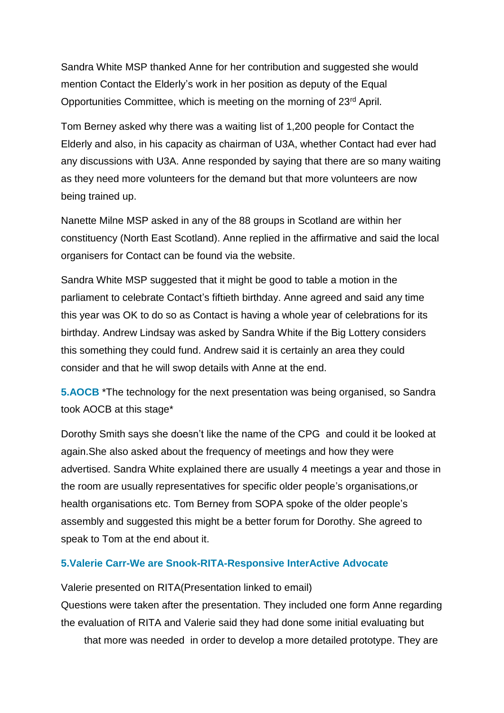Sandra White MSP thanked Anne for her contribution and suggested she would mention Contact the Elderly's work in her position as deputy of the Equal Opportunities Committee, which is meeting on the morning of 23rd April.

Tom Berney asked why there was a waiting list of 1,200 people for Contact the Elderly and also, in his capacity as chairman of U3A, whether Contact had ever had any discussions with U3A. Anne responded by saying that there are so many waiting as they need more volunteers for the demand but that more volunteers are now being trained up.

Nanette Milne MSP asked in any of the 88 groups in Scotland are within her constituency (North East Scotland). Anne replied in the affirmative and said the local organisers for Contact can be found via the website.

Sandra White MSP suggested that it might be good to table a motion in the parliament to celebrate Contact's fiftieth birthday. Anne agreed and said any time this year was OK to do so as Contact is having a whole year of celebrations for its birthday. Andrew Lindsay was asked by Sandra White if the Big Lottery considers this something they could fund. Andrew said it is certainly an area they could consider and that he will swop details with Anne at the end.

**5.AOCB** \*The technology for the next presentation was being organised, so Sandra took AOCB at this stage\*

Dorothy Smith says she doesn't like the name of the CPG and could it be looked at again.She also asked about the frequency of meetings and how they were advertised. Sandra White explained there are usually 4 meetings a year and those in the room are usually representatives for specific older people's organisations,or health organisations etc. Tom Berney from SOPA spoke of the older people's assembly and suggested this might be a better forum for Dorothy. She agreed to speak to Tom at the end about it.

#### **5.Valerie Carr-We are Snook-RITA-Responsive InterActive Advocate**

Valerie presented on RITA(Presentation linked to email)

Questions were taken after the presentation. They included one form Anne regarding the evaluation of RITA and Valerie said they had done some initial evaluating but

that more was needed in order to develop a more detailed prototype. They are